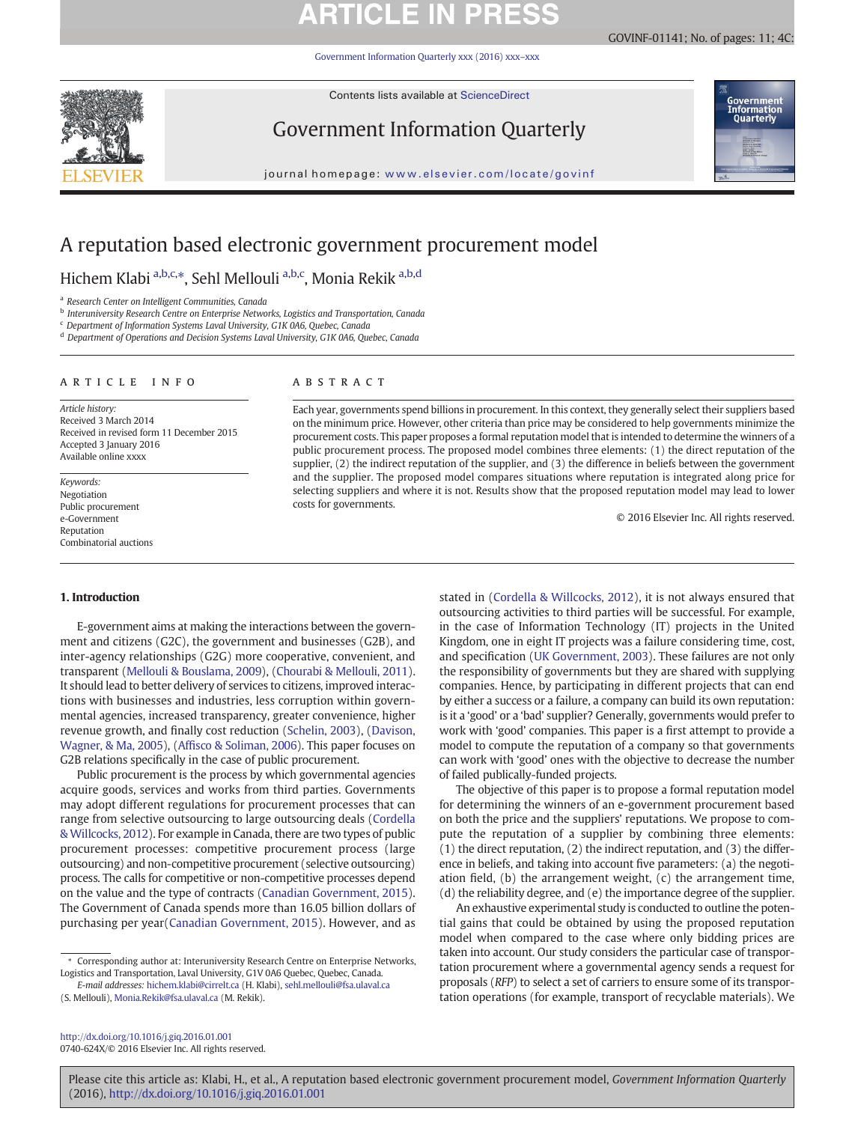# **ARTICLE IN PR**

Government Information Quarterly xxx (2016) xxx–xxx

Contents lists available at ScienceDirect



Government Information Quarterly

journal homepage: <www.elsevier.com/locate/govinf>



# A reputation based electronic government procurement model

Hichem Klabi <sup>a,b,c,</sup>\*, Sehl Mellouli <sup>a,b,c</sup>, Monia Rekik <sup>a,b,d</sup>

<sup>a</sup> Research Center on Intelligent Communities, Canada

**b** Interuniversity Research Centre on Enterprise Networks, Logistics and Transportation, Canada

<sup>c</sup> Department of Information Systems Laval University, G1K 0A6, Quebec, Canada

<sup>d</sup> Department of Operations and Decision Systems Laval University, G1K 0A6, Quebec, Canada

### article info abstract

Article history: Received 3 March 2014 Received in revised form 11 December 2015 Accepted 3 January 2016 Available online xxxx

Keywords: Negotiation Public procurement e-Government Reputation Combinatorial auctions

Each year, governments spend billions in procurement. In this context, they generally select their suppliers based on the minimum price. However, other criteria than price may be considered to help governments minimize the procurement costs. This paper proposes a formal reputation model that is intended to determine the winners of a public procurement process. The proposed model combines three elements: (1) the direct reputation of the supplier, (2) the indirect reputation of the supplier, and (3) the difference in beliefs between the government and the supplier. The proposed model compares situations where reputation is integrated along price for selecting suppliers and where it is not. Results show that the proposed reputation model may lead to lower costs for governments.

© 2016 Elsevier Inc. All rights reserved.

# 1. Introduction

E-government aims at making the interactions between the government and citizens (G2C), the government and businesses (G2B), and inter-agency relationships (G2G) more cooperative, convenient, and transparent ([Mellouli & Bouslama, 2009\)](#page-10-0), [\(Chourabi & Mellouli, 2011](#page-9-0)). It should lead to better delivery of services to citizens, improved interactions with businesses and industries, less corruption within governmental agencies, increased transparency, greater convenience, higher revenue growth, and finally cost reduction [\(Schelin, 2003\)](#page-10-0), ([Davison,](#page-9-0) [Wagner, & Ma, 2005](#page-9-0)), (Affi[sco & Soliman, 2006\)](#page-9-0). This paper focuses on G2B relations specifically in the case of public procurement.

Public procurement is the process by which governmental agencies acquire goods, services and works from third parties. Governments may adopt different regulations for procurement processes that can range from selective outsourcing to large outsourcing deals ([Cordella](#page-9-0) [& Willcocks, 2012\)](#page-9-0). For example in Canada, there are two types of public procurement processes: competitive procurement process (large outsourcing) and non-competitive procurement (selective outsourcing) process. The calls for competitive or non-competitive processes depend on the value and the type of contracts [\(Canadian Government, 2015](#page-9-0)). The Government of Canada spends more than 16.05 billion dollars of purchasing per year([Canadian Government, 2015\)](#page-9-0). However, and as

⁎ Corresponding author at: Interuniversity Research Centre on Enterprise Networks, Logistics and Transportation, Laval University, G1V 0A6 Quebec, Quebec, Canada.

E-mail addresses: hichem.klabi@cirrelt.ca (H. Klabi), sehl.mellouli@fsa.ulaval.ca (S. Mellouli), [Monia.Rekik@fsa.ulaval.ca](mailto:Monia.Rekik@fsa.ulaval.ca) (M. Rekik).

<http://dx.doi.org/10.1016/j.giq.2016.01.001>

stated in ([Cordella & Willcocks, 2012\)](#page-9-0), it is not always ensured that outsourcing activities to third parties will be successful. For example, in the case of Information Technology (IT) projects in the United Kingdom, one in eight IT projects was a failure considering time, cost, and specification [\(UK Government, 2003](#page-10-0)). These failures are not only the responsibility of governments but they are shared with supplying companies. Hence, by participating in different projects that can end by either a success or a failure, a company can build its own reputation: is it a 'good' or a 'bad' supplier? Generally, governments would prefer to work with 'good' companies. This paper is a first attempt to provide a model to compute the reputation of a company so that governments can work with 'good' ones with the objective to decrease the number of failed publically-funded projects.

The objective of this paper is to propose a formal reputation model for determining the winners of an e-government procurement based on both the price and the suppliers' reputations. We propose to compute the reputation of a supplier by combining three elements: (1) the direct reputation, (2) the indirect reputation, and (3) the difference in beliefs, and taking into account five parameters: (a) the negotiation field, (b) the arrangement weight, (c) the arrangement time, (d) the reliability degree, and (e) the importance degree of the supplier.

An exhaustive experimental study is conducted to outline the potential gains that could be obtained by using the proposed reputation model when compared to the case where only bidding prices are taken into account. Our study considers the particular case of transportation procurement where a governmental agency sends a request for proposals (RFP) to select a set of carriers to ensure some of its transportation operations (for example, transport of recyclable materials). We

0740-624X/© 2016 Elsevier Inc. All rights reserved.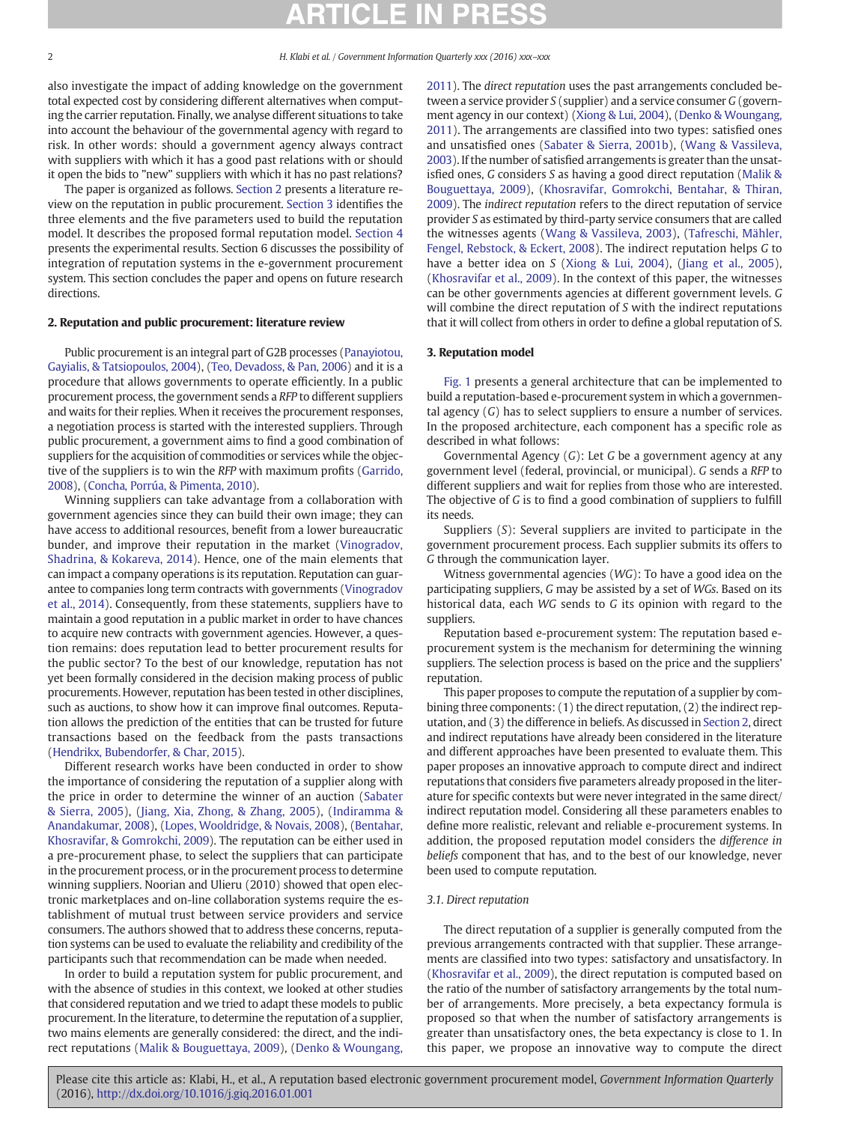also investigate the impact of adding knowledge on the government total expected cost by considering different alternatives when computing the carrier reputation. Finally, we analyse different situations to take into account the behaviour of the governmental agency with regard to risk. In other words: should a government agency always contract with suppliers with which it has a good past relations with or should it open the bids to "new" suppliers with which it has no past relations?

The paper is organized as follows. Section 2 presents a literature review on the reputation in public procurement. Section 3 identifies the three elements and the five parameters used to build the reputation model. It describes the proposed formal reputation model. [Section 4](#page-3-0) presents the experimental results. Section 6 discusses the possibility of integration of reputation systems in the e-government procurement system. This section concludes the paper and opens on future research directions.

# 2. Reputation and public procurement: literature review

Public procurement is an integral part of G2B processes [\(Panayiotou,](#page-10-0) [Gayialis, & Tatsiopoulos, 2004\)](#page-10-0), [\(Teo, Devadoss, & Pan, 2006](#page-10-0)) and it is a procedure that allows governments to operate efficiently. In a public procurement process, the government sends a RFP to different suppliers and waits for their replies. When it receives the procurement responses, a negotiation process is started with the interested suppliers. Through public procurement, a government aims to find a good combination of suppliers for the acquisition of commodities or services while the objective of the suppliers is to win the RFP with maximum profits ([Garrido,](#page-9-0) [2008\)](#page-9-0), [\(Concha, Porrúa, & Pimenta, 2010](#page-9-0)).

Winning suppliers can take advantage from a collaboration with government agencies since they can build their own image; they can have access to additional resources, benefit from a lower bureaucratic bunder, and improve their reputation in the market [\(Vinogradov,](#page-10-0) [Shadrina, & Kokareva, 2014](#page-10-0)). Hence, one of the main elements that can impact a company operations is its reputation. Reputation can guarantee to companies long term contracts with governments ([Vinogradov](#page-10-0) [et al., 2014\)](#page-10-0). Consequently, from these statements, suppliers have to maintain a good reputation in a public market in order to have chances to acquire new contracts with government agencies. However, a question remains: does reputation lead to better procurement results for the public sector? To the best of our knowledge, reputation has not yet been formally considered in the decision making process of public procurements. However, reputation has been tested in other disciplines, such as auctions, to show how it can improve final outcomes. Reputation allows the prediction of the entities that can be trusted for future transactions based on the feedback from the pasts transactions [\(Hendrikx, Bubendorfer, & Char, 2015\)](#page-9-0).

Different research works have been conducted in order to show the importance of considering the reputation of a supplier along with the price in order to determine the winner of an auction [\(Sabater](#page-10-0) [& Sierra, 2005](#page-10-0)), ([Jiang, Xia, Zhong, & Zhang, 2005](#page-9-0)), [\(Indiramma &](#page-9-0) [Anandakumar, 2008\)](#page-9-0), ([Lopes, Wooldridge, & Novais, 2008](#page-9-0)), [\(Bentahar,](#page-9-0) [Khosravifar, & Gomrokchi, 2009\)](#page-9-0). The reputation can be either used in a pre-procurement phase, to select the suppliers that can participate in the procurement process, or in the procurement process to determine winning suppliers. Noorian and Ulieru (2010) showed that open electronic marketplaces and on-line collaboration systems require the establishment of mutual trust between service providers and service consumers. The authors showed that to address these concerns, reputation systems can be used to evaluate the reliability and credibility of the participants such that recommendation can be made when needed.

In order to build a reputation system for public procurement, and with the absence of studies in this context, we looked at other studies that considered reputation and we tried to adapt these models to public procurement. In the literature, to determine the reputation of a supplier, two mains elements are generally considered: the direct, and the indirect reputations [\(Malik & Bouguettaya, 2009\)](#page-10-0), ([Denko & Woungang,](#page-9-0) [2011\)](#page-9-0). The direct reputation uses the past arrangements concluded between a service provider S (supplier) and a service consumer G (government agency in our context) [\(Xiong & Lui, 2004](#page-10-0)), ([Denko & Woungang,](#page-9-0) [2011\)](#page-9-0). The arrangements are classified into two types: satisfied ones and unsatisfied ones ([Sabater & Sierra, 2001b](#page-10-0)), [\(Wang & Vassileva,](#page-10-0) [2003\)](#page-10-0). If the number of satisfied arrangements is greater than the unsatisfied ones, G considers S as having a good direct reputation ([Malik &](#page-10-0) [Bouguettaya, 2009\)](#page-10-0), ([Khosravifar, Gomrokchi, Bentahar, & Thiran,](#page-9-0) [2009\)](#page-9-0). The indirect reputation refers to the direct reputation of service provider S as estimated by third-party service consumers that are called the witnesses agents ([Wang & Vassileva, 2003](#page-10-0)), ([Tafreschi, Mähler,](#page-10-0) [Fengel, Rebstock, & Eckert, 2008](#page-10-0)). The indirect reputation helps G to have a better idea on S [\(Xiong & Lui, 2004\)](#page-10-0), [\(Jiang et al., 2005](#page-9-0)), [\(Khosravifar et al., 2009](#page-9-0)). In the context of this paper, the witnesses can be other governments agencies at different government levels. G will combine the direct reputation of S with the indirect reputations that it will collect from others in order to define a global reputation of S.

# 3. Reputation model

[Fig. 1](#page-2-0) presents a general architecture that can be implemented to build a reputation-based e-procurement system in which a governmental agency (G) has to select suppliers to ensure a number of services. In the proposed architecture, each component has a specific role as described in what follows:

Governmental Agency (G): Let G be a government agency at any government level (federal, provincial, or municipal). G sends a RFP to different suppliers and wait for replies from those who are interested. The objective of G is to find a good combination of suppliers to fulfill its needs.

Suppliers (S): Several suppliers are invited to participate in the government procurement process. Each supplier submits its offers to G through the communication layer.

Witness governmental agencies (WG): To have a good idea on the participating suppliers, G may be assisted by a set of WGs. Based on its historical data, each WG sends to G its opinion with regard to the suppliers.

Reputation based e-procurement system: The reputation based eprocurement system is the mechanism for determining the winning suppliers. The selection process is based on the price and the suppliers' reputation.

This paper proposes to compute the reputation of a supplier by combining three components: (1) the direct reputation, (2) the indirect reputation, and (3) the difference in beliefs. As discussed in Section 2, direct and indirect reputations have already been considered in the literature and different approaches have been presented to evaluate them. This paper proposes an innovative approach to compute direct and indirect reputations that considers five parameters already proposed in the literature for specific contexts but were never integrated in the same direct/ indirect reputation model. Considering all these parameters enables to define more realistic, relevant and reliable e-procurement systems. In addition, the proposed reputation model considers the difference in beliefs component that has, and to the best of our knowledge, never been used to compute reputation.

### 3.1. Direct reputation

The direct reputation of a supplier is generally computed from the previous arrangements contracted with that supplier. These arrangements are classified into two types: satisfactory and unsatisfactory. In [\(Khosravifar et al., 2009\)](#page-9-0), the direct reputation is computed based on the ratio of the number of satisfactory arrangements by the total number of arrangements. More precisely, a beta expectancy formula is proposed so that when the number of satisfactory arrangements is greater than unsatisfactory ones, the beta expectancy is close to 1. In this paper, we propose an innovative way to compute the direct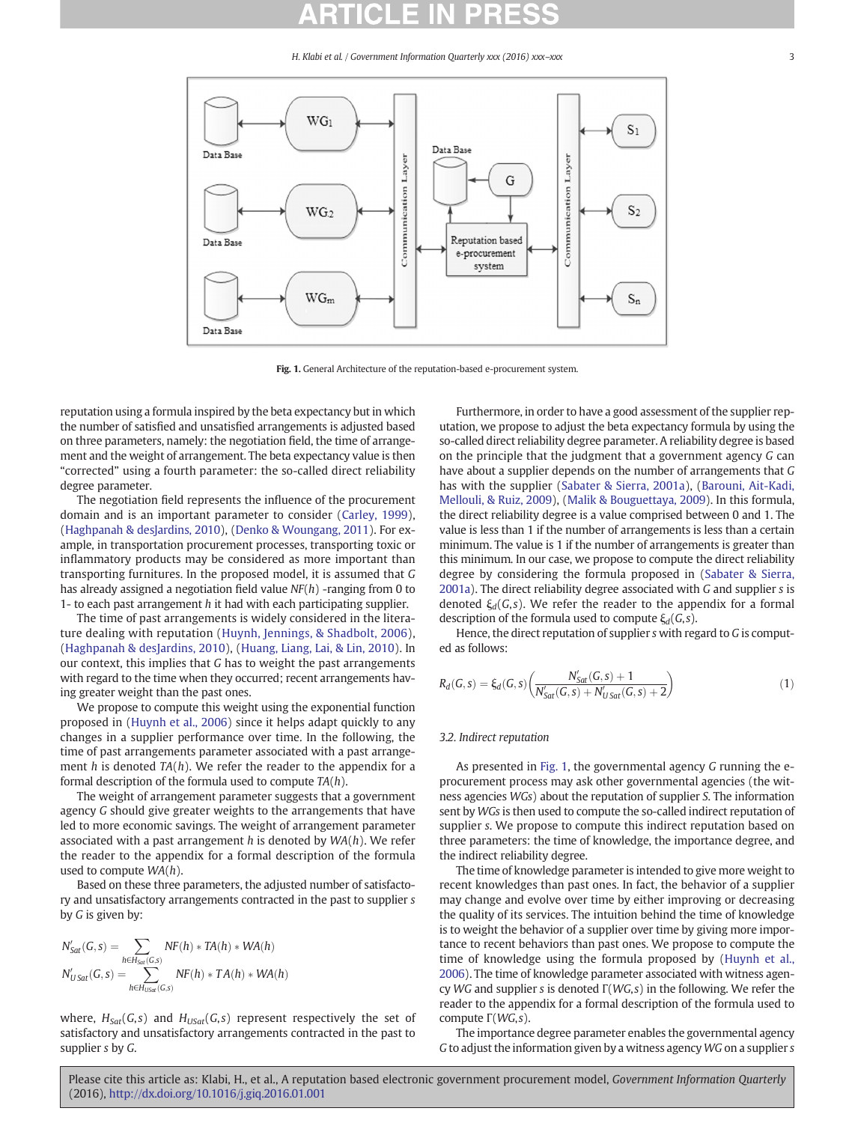<span id="page-2-0"></span>

Fig. 1. General Architecture of the reputation-based e-procurement system.

reputation using a formula inspired by the beta expectancy but in which the number of satisfied and unsatisfied arrangements is adjusted based on three parameters, namely: the negotiation field, the time of arrangement and the weight of arrangement. The beta expectancy value is then "corrected" using a fourth parameter: the so-called direct reliability degree parameter.

The negotiation field represents the influence of the procurement domain and is an important parameter to consider ([Carley, 1999](#page-9-0)), [\(Haghpanah & desJardins, 2010\)](#page-9-0), ([Denko & Woungang, 2011\)](#page-9-0). For example, in transportation procurement processes, transporting toxic or inflammatory products may be considered as more important than transporting furnitures. In the proposed model, it is assumed that G has already assigned a negotiation field value  $NF(h)$  -ranging from 0 to 1- to each past arrangement  $h$  it had with each participating supplier.

The time of past arrangements is widely considered in the literature dealing with reputation ([Huynh, Jennings, & Shadbolt, 2006](#page-9-0)), [\(Haghpanah & desJardins, 2010](#page-9-0)), [\(Huang, Liang, Lai, & Lin, 2010\)](#page-9-0). In our context, this implies that G has to weight the past arrangements with regard to the time when they occurred; recent arrangements having greater weight than the past ones.

We propose to compute this weight using the exponential function proposed in ([Huynh et al., 2006\)](#page-9-0) since it helps adapt quickly to any changes in a supplier performance over time. In the following, the time of past arrangements parameter associated with a past arrangement h is denoted  $TA(h)$ . We refer the reader to the appendix for a formal description of the formula used to compute  $TA(h)$ .

The weight of arrangement parameter suggests that a government agency G should give greater weights to the arrangements that have led to more economic savings. The weight of arrangement parameter associated with a past arrangement h is denoted by  $WA(h)$ . We refer the reader to the appendix for a formal description of the formula used to compute  $WA(h)$ .

Based on these three parameters, the adjusted number of satisfactory and unsatisfactory arrangements contracted in the past to supplier s by G is given by:

$$
N'_{Sat}(G,s) = \sum_{h \in H_{Sat}(G,s)} NF(h) * TA(h) * WA(h)
$$
  

$$
N'_{USat}(G,s) = \sum_{h \in H_{USat}(G,s)} NF(h) * TA(h) * WA(h)
$$

where,  $H<sub>Sat</sub>(G,s)$  and  $H<sub>USat</sub>(G,s)$  represent respectively the set of satisfactory and unsatisfactory arrangements contracted in the past to supplier s by G.

Furthermore, in order to have a good assessment of the supplier reputation, we propose to adjust the beta expectancy formula by using the so-called direct reliability degree parameter. A reliability degree is based on the principle that the judgment that a government agency G can have about a supplier depends on the number of arrangements that G has with the supplier ([Sabater & Sierra, 2001a](#page-10-0)), ([Barouni, Ait-Kadi,](#page-9-0) [Mellouli, & Ruiz, 2009\)](#page-9-0), [\(Malik & Bouguettaya, 2009\)](#page-10-0). In this formula, the direct reliability degree is a value comprised between 0 and 1. The value is less than 1 if the number of arrangements is less than a certain minimum. The value is 1 if the number of arrangements is greater than this minimum. In our case, we propose to compute the direct reliability degree by considering the formula proposed in [\(Sabater & Sierra,](#page-10-0) [2001a](#page-10-0)). The direct reliability degree associated with G and supplier s is denoted  $\xi_d(G, s)$ . We refer the reader to the appendix for a formal description of the formula used to compute  $\xi_d(G, s)$ .

Hence, the direct reputation of supplier s with regard to G is computed as follows:

$$
R_d(G,s) = \xi_d(G,s) \left( \frac{N'_{Sat}(G,s) + 1}{N'_{Sat}(G,s) + N'_{USat}(G,s) + 2} \right)
$$
(1)

# 3.2. Indirect reputation

As presented in Fig. 1, the governmental agency G running the eprocurement process may ask other governmental agencies (the witness agencies WGs) about the reputation of supplier S. The information sent by WGs is then used to compute the so-called indirect reputation of supplier s. We propose to compute this indirect reputation based on three parameters: the time of knowledge, the importance degree, and the indirect reliability degree.

The time of knowledge parameter is intended to give more weight to recent knowledges than past ones. In fact, the behavior of a supplier may change and evolve over time by either improving or decreasing the quality of its services. The intuition behind the time of knowledge is to weight the behavior of a supplier over time by giving more importance to recent behaviors than past ones. We propose to compute the time of knowledge using the formula proposed by [\(Huynh et al.,](#page-9-0) [2006](#page-9-0)). The time of knowledge parameter associated with witness agency WG and supplier s is denoted Γ(WG, s) in the following. We refer the reader to the appendix for a formal description of the formula used to compute Γ(WG, s).

The importance degree parameter enables the governmental agency G to adjust the information given by a witness agency WG on a supplier s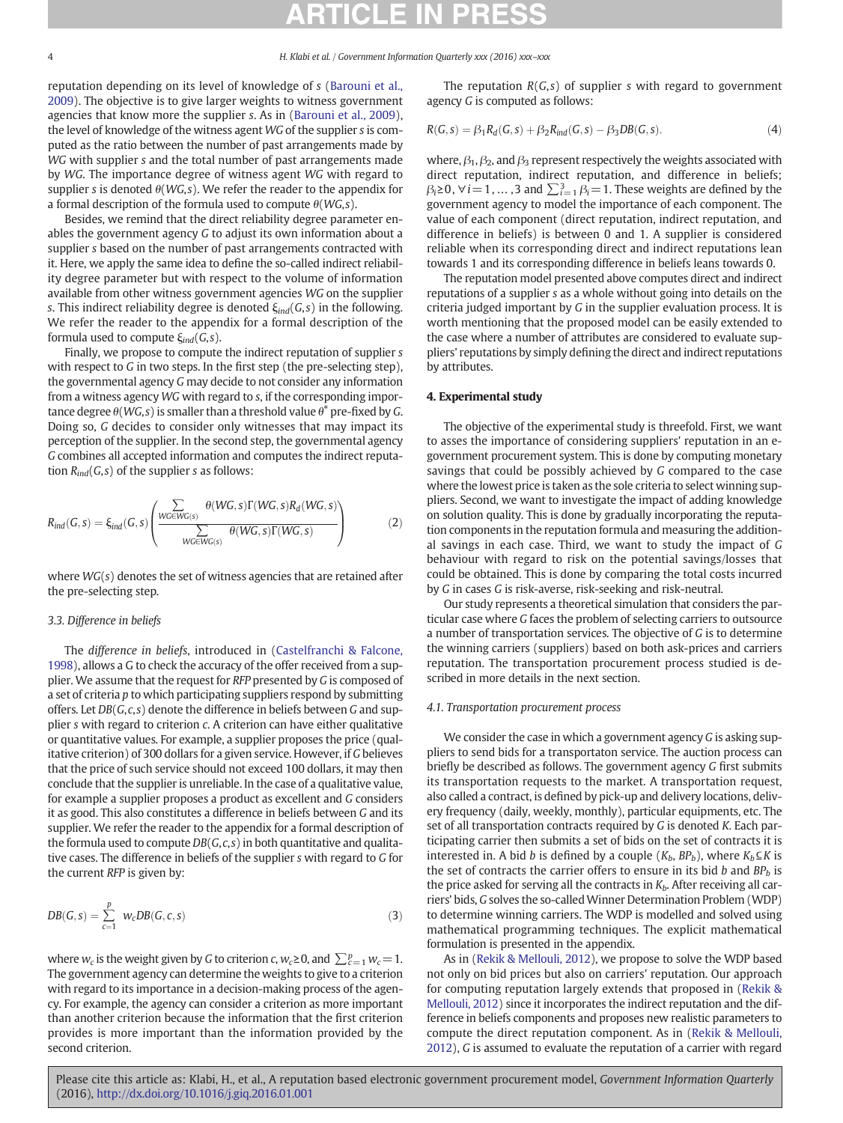<span id="page-3-0"></span>reputation depending on its level of knowledge of s [\(Barouni et al.,](#page-9-0) [2009\)](#page-9-0). The objective is to give larger weights to witness government agencies that know more the supplier s. As in ([Barouni et al., 2009](#page-9-0)), the level of knowledge of the witness agent WG of the supplier s is computed as the ratio between the number of past arrangements made by WG with supplier s and the total number of past arrangements made by WG. The importance degree of witness agent WG with regard to supplier s is denoted  $\theta(WG, s)$ . We refer the reader to the appendix for a formal description of the formula used to compute  $\theta(WG, s)$ .

Besides, we remind that the direct reliability degree parameter enables the government agency G to adjust its own information about a supplier s based on the number of past arrangements contracted with it. Here, we apply the same idea to define the so-called indirect reliability degree parameter but with respect to the volume of information available from other witness government agencies WG on the supplier s. This indirect reliability degree is denoted  $\xi_{ind}(G, s)$  in the following. We refer the reader to the appendix for a formal description of the formula used to compute  $\xi_{ind}(G,s)$ .

Finally, we propose to compute the indirect reputation of supplier s with respect to G in two steps. In the first step (the pre-selecting step), the governmental agency G may decide to not consider any information from a witness agency WG with regard to s, if the corresponding importance degree  $\theta(WG, s)$  is smaller than a threshold value  $\theta^*$  pre-fixed by G. Doing so, G decides to consider only witnesses that may impact its perception of the supplier. In the second step, the governmental agency G combines all accepted information and computes the indirect reputation  $R_{ind}(G, s)$  of the supplier s as follows:

$$
R_{ind}(G,s) = \xi_{ind}(G,s) \left( \frac{\sum\limits_{WG \in WG(s)} \theta(WG,s) \Gamma(WG,s) R_d(WG,s)}{\sum\limits_{WG \in WG(s)} \theta(WG,s) \Gamma(WG,s)} \right) \tag{2}
$$

where  $WG(s)$  denotes the set of witness agencies that are retained after the pre-selecting step.

# 3.3. Difference in beliefs

The difference in beliefs, introduced in [\(Castelfranchi & Falcone,](#page-9-0) [1998\)](#page-9-0), allows a G to check the accuracy of the offer received from a supplier. We assume that the request for RFP presented by G is composed of a set of criteria p to which participating suppliers respond by submitting offers. Let  $DB(G, c, s)$  denote the difference in beliefs between G and supplier s with regard to criterion c. A criterion can have either qualitative or quantitative values. For example, a supplier proposes the price (qualitative criterion) of 300 dollars for a given service. However, if G believes that the price of such service should not exceed 100 dollars, it may then conclude that the supplier is unreliable. In the case of a qualitative value, for example a supplier proposes a product as excellent and G considers it as good. This also constitutes a difference in beliefs between G and its supplier. We refer the reader to the appendix for a formal description of the formula used to compute  $DB(G, c, s)$  in both quantitative and qualitative cases. The difference in beliefs of the supplier s with regard to G for the current RFP is given by:

$$
DB(G, s) = \sum_{c=1}^{p} w_c DB(G, c, s)
$$
\n(3)

where  $w_c$  is the weight given by G to criterion  $c, w_c \geq 0$ , and  $\sum_{c=1}^{p} w_c = 1$ . The government agency can determine the weights to give to a criterion with regard to its importance in a decision-making process of the agency. For example, the agency can consider a criterion as more important than another criterion because the information that the first criterion provides is more important than the information provided by the second criterion.

The reputation  $R(G, s)$  of supplier s with regard to government agency G is computed as follows:

$$
R(G,s) = \beta_1 R_d(G,s) + \beta_2 R_{ind}(G,s) - \beta_3 DB(G,s).
$$
 (4)

where,  $\beta_1$ ,  $\beta_2$ , and  $\beta_3$  represent respectively the weights associated with direct reputation, indirect reputation, and difference in beliefs;  $\beta_i$ ≥0,  $\forall i = 1, ..., 3$  and  $\sum_{i=1}^{3} \beta_i = 1$ . These weights are defined by the government agency to model the importance of each component. The value of each component (direct reputation, indirect reputation, and difference in beliefs) is between 0 and 1. A supplier is considered reliable when its corresponding direct and indirect reputations lean towards 1 and its corresponding difference in beliefs leans towards 0.

The reputation model presented above computes direct and indirect reputations of a supplier s as a whole without going into details on the criteria judged important by G in the supplier evaluation process. It is worth mentioning that the proposed model can be easily extended to the case where a number of attributes are considered to evaluate suppliers' reputations by simply defining the direct and indirect reputations by attributes.

# 4. Experimental study

The objective of the experimental study is threefold. First, we want to asses the importance of considering suppliers' reputation in an egovernment procurement system. This is done by computing monetary savings that could be possibly achieved by G compared to the case where the lowest price is taken as the sole criteria to select winning suppliers. Second, we want to investigate the impact of adding knowledge on solution quality. This is done by gradually incorporating the reputation components in the reputation formula and measuring the additional savings in each case. Third, we want to study the impact of G behaviour with regard to risk on the potential savings/losses that could be obtained. This is done by comparing the total costs incurred by G in cases G is risk-averse, risk-seeking and risk-neutral.

Our study represents a theoretical simulation that considers the particular case where G faces the problem of selecting carriers to outsource a number of transportation services. The objective of G is to determine the winning carriers (suppliers) based on both ask-prices and carriers reputation. The transportation procurement process studied is described in more details in the next section.

# 4.1. Transportation procurement process

We consider the case in which a government agency G is asking suppliers to send bids for a transportaton service. The auction process can briefly be described as follows. The government agency G first submits its transportation requests to the market. A transportation request, also called a contract, is defined by pick-up and delivery locations, delivery frequency (daily, weekly, monthly), particular equipments, etc. The set of all transportation contracts required by G is denoted K. Each participating carrier then submits a set of bids on the set of contracts it is interested in. A bid *b* is defined by a couple ( $K_b$ ,  $BP_b$ ), where  $K_b \subseteq K$  is the set of contracts the carrier offers to ensure in its bid b and  $BP<sub>b</sub>$  is the price asked for serving all the contracts in  $K_b$ . After receiving all carriers' bids, G solves the so-called Winner Determination Problem (WDP) to determine winning carriers. The WDP is modelled and solved using mathematical programming techniques. The explicit mathematical formulation is presented in the appendix.

As in [\(Rekik & Mellouli, 2012](#page-10-0)), we propose to solve the WDP based not only on bid prices but also on carriers' reputation. Our approach for computing reputation largely extends that proposed in [\(Rekik &](#page-10-0) [Mellouli, 2012](#page-10-0)) since it incorporates the indirect reputation and the difference in beliefs components and proposes new realistic parameters to compute the direct reputation component. As in ([Rekik & Mellouli,](#page-10-0) [2012\)](#page-10-0), G is assumed to evaluate the reputation of a carrier with regard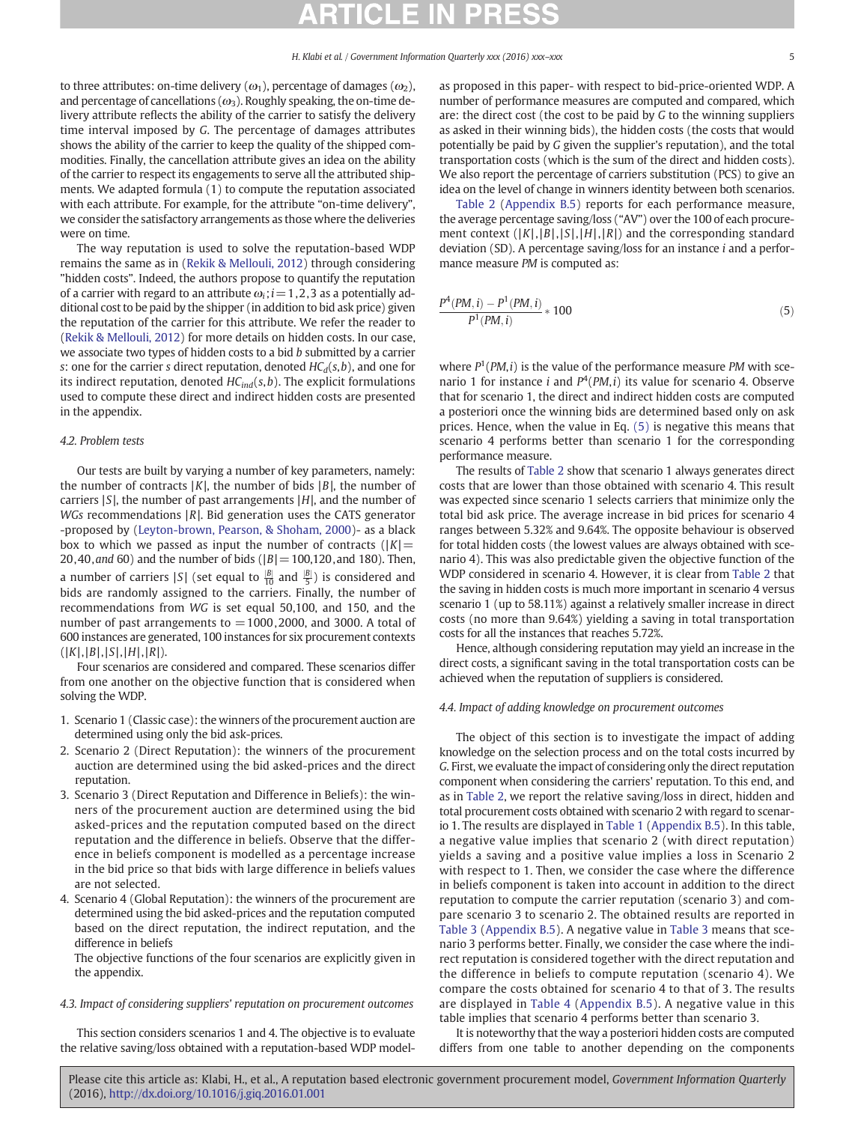to three attributes: on-time delivery  $(\omega_1)$ , percentage of damages  $(\omega_2)$ , and percentage of cancellations  $(\omega_3)$ . Roughly speaking, the on-time delivery attribute reflects the ability of the carrier to satisfy the delivery time interval imposed by G. The percentage of damages attributes shows the ability of the carrier to keep the quality of the shipped commodities. Finally, the cancellation attribute gives an idea on the ability of the carrier to respect its engagements to serve all the attributed shipments. We adapted formula (1) to compute the reputation associated with each attribute. For example, for the attribute "on-time delivery", we consider the satisfactory arrangements as those where the deliveries were on time.

The way reputation is used to solve the reputation-based WDP remains the same as in ([Rekik & Mellouli, 2012](#page-10-0)) through considering "hidden costs". Indeed, the authors propose to quantify the reputation of a carrier with regard to an attribute  $\omega_i$ ;  $i=1,2,3$  as a potentially additional cost to be paid by the shipper (in addition to bid ask price) given the reputation of the carrier for this attribute. We refer the reader to [\(Rekik & Mellouli, 2012](#page-10-0)) for more details on hidden costs. In our case, we associate two types of hidden costs to a bid b submitted by a carrier s: one for the carrier s direct reputation, denoted  $HC_d(s, b)$ , and one for its indirect reputation, denoted  $HC_{ind}(s,b)$ . The explicit formulations used to compute these direct and indirect hidden costs are presented in the appendix.

# 4.2. Problem tests

Our tests are built by varying a number of key parameters, namely: the number of contracts  $|K|$ , the number of bids  $|B|$ , the number of carriers  $|S|$ , the number of past arrangements  $|H|$ , and the number of WGs recommendations  $|R|$ . Bid generation uses the CATS generator -proposed by ([Leyton-brown, Pearson, & Shoham, 2000](#page-9-0))- as a black box to which we passed as input the number of contracts ( $|K|$  = 20,40, *and* 60) and the number of bids ( $|B|=100,120$ , and 180). Then, a number of carriers  $|S|$  (set equal to  $\frac{|B|}{10}$  and  $\frac{|B|}{5}$ ) is considered and bids are randomly assigned to the carriers. Finally, the number of recommendations from WG is set equal 50,100, and 150, and the number of past arrangements to  $=1000, 2000$ , and 3000. A total of 600 instances are generated, 100 instances for six procurement contexts  $(|K|,|B|,|S|,|H|,|R|).$ 

Four scenarios are considered and compared. These scenarios differ from one another on the objective function that is considered when solving the WDP.

- 1. Scenario 1 (Classic case): the winners of the procurement auction are determined using only the bid ask-prices.
- 2. Scenario 2 (Direct Reputation): the winners of the procurement auction are determined using the bid asked-prices and the direct reputation.
- 3. Scenario 3 (Direct Reputation and Difference in Beliefs): the winners of the procurement auction are determined using the bid asked-prices and the reputation computed based on the direct reputation and the difference in beliefs. Observe that the difference in beliefs component is modelled as a percentage increase in the bid price so that bids with large difference in beliefs values are not selected.
- 4. Scenario 4 (Global Reputation): the winners of the procurement are determined using the bid asked-prices and the reputation computed based on the direct reputation, the indirect reputation, and the difference in beliefs

The objective functions of the four scenarios are explicitly given in the appendix.

# 4.3. Impact of considering suppliers' reputation on procurement outcomes

This section considers scenarios 1 and 4. The objective is to evaluate the relative saving/loss obtained with a reputation-based WDP modelas proposed in this paper- with respect to bid-price-oriented WDP. A number of performance measures are computed and compared, which are: the direct cost (the cost to be paid by G to the winning suppliers as asked in their winning bids), the hidden costs (the costs that would potentially be paid by G given the supplier's reputation), and the total transportation costs (which is the sum of the direct and hidden costs). We also report the percentage of carriers substitution (PCS) to give an idea on the level of change in winners identity between both scenarios.

[Table 2](#page-8-0) ([Appendix B.5](#page-6-0)) reports for each performance measure, the average percentage saving/loss ("AV") over the 100 of each procurement context  $(|K|,|B|,|S|,|H|,|R|)$  and the corresponding standard deviation (SD). A percentage saving/loss for an instance i and a performance measure PM is computed as:

$$
\frac{P^4(PM,i) - P^1(PM,i)}{P^1(PM,i)} * 100
$$
\n<sup>(5)</sup>

where  $P^1(PM, i)$  is the value of the performance measure PM with scenario 1 for instance *i* and  $P^4(PM, i)$  its value for scenario 4. Observe that for scenario 1, the direct and indirect hidden costs are computed a posteriori once the winning bids are determined based only on ask prices. Hence, when the value in Eq. (5) is negative this means that scenario 4 performs better than scenario 1 for the corresponding performance measure.

The results of [Table 2](#page-8-0) show that scenario 1 always generates direct costs that are lower than those obtained with scenario 4. This result was expected since scenario 1 selects carriers that minimize only the total bid ask price. The average increase in bid prices for scenario 4 ranges between 5.32% and 9.64%. The opposite behaviour is observed for total hidden costs (the lowest values are always obtained with scenario 4). This was also predictable given the objective function of the WDP considered in scenario 4. However, it is clear from [Table 2](#page-8-0) that the saving in hidden costs is much more important in scenario 4 versus scenario 1 (up to 58.11%) against a relatively smaller increase in direct costs (no more than 9.64%) yielding a saving in total transportation costs for all the instances that reaches 5.72%.

Hence, although considering reputation may yield an increase in the direct costs, a significant saving in the total transportation costs can be achieved when the reputation of suppliers is considered.

# 4.4. Impact of adding knowledge on procurement outcomes

The object of this section is to investigate the impact of adding knowledge on the selection process and on the total costs incurred by G. First, we evaluate the impact of considering only the direct reputation component when considering the carriers' reputation. To this end, and as in [Table 2](#page-8-0), we report the relative saving/loss in direct, hidden and total procurement costs obtained with scenario 2 with regard to scenario 1. The results are displayed in [Table 1](#page-8-0) [\(Appendix B.5](#page-6-0)). In this table, a negative value implies that scenario 2 (with direct reputation) yields a saving and a positive value implies a loss in Scenario 2 with respect to 1. Then, we consider the case where the difference in beliefs component is taken into account in addition to the direct reputation to compute the carrier reputation (scenario 3) and compare scenario 3 to scenario 2. The obtained results are reported in [Table 3](#page-8-0) [\(Appendix B.5\)](#page-6-0). A negative value in [Table 3](#page-8-0) means that scenario 3 performs better. Finally, we consider the case where the indirect reputation is considered together with the direct reputation and the difference in beliefs to compute reputation (scenario 4). We compare the costs obtained for scenario 4 to that of 3. The results are displayed in [Table 4](#page-8-0) ([Appendix B.5](#page-6-0)). A negative value in this table implies that scenario 4 performs better than scenario 3.

It is noteworthy that the way a posteriori hidden costs are computed differs from one table to another depending on the components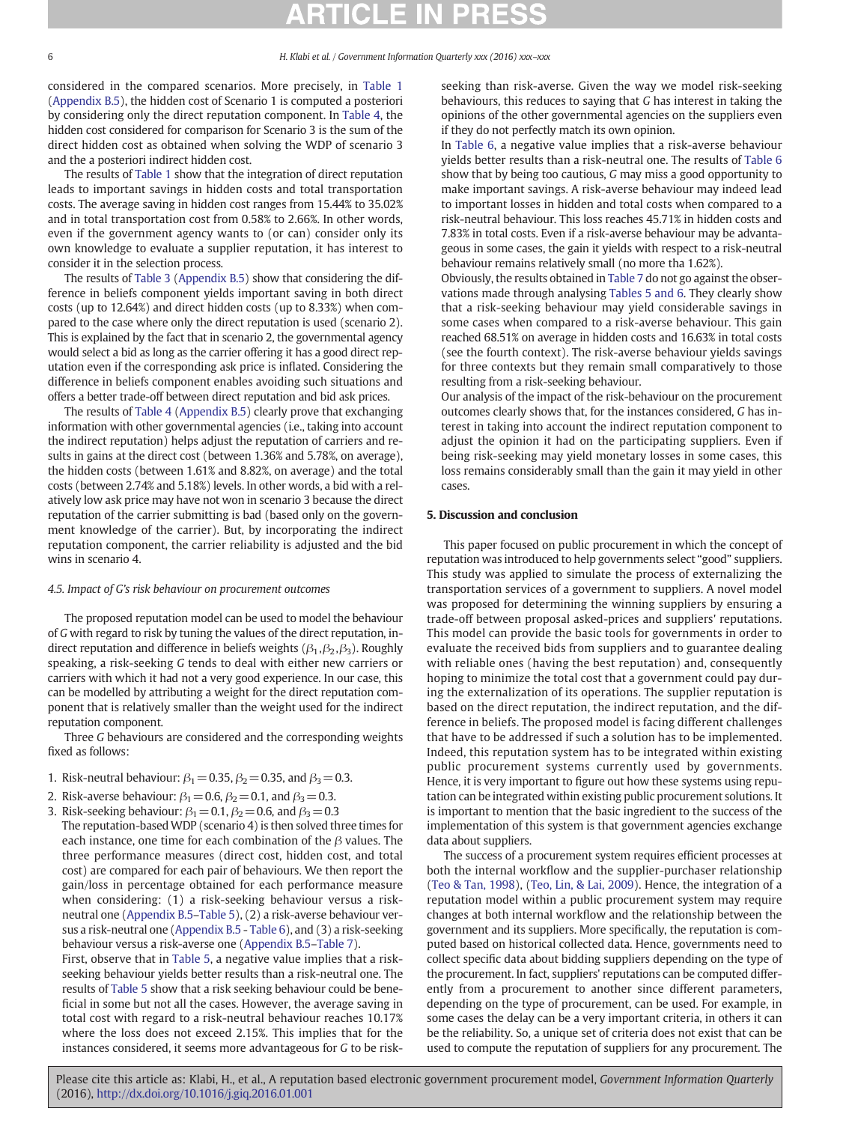considered in the compared scenarios. More precisely, in [Table 1](#page-8-0) [\(Appendix B.5\)](#page-6-0), the hidden cost of Scenario 1 is computed a posteriori by considering only the direct reputation component. In [Table 4,](#page-8-0) the hidden cost considered for comparison for Scenario 3 is the sum of the direct hidden cost as obtained when solving the WDP of scenario 3 and the a posteriori indirect hidden cost.

The results of [Table 1](#page-8-0) show that the integration of direct reputation leads to important savings in hidden costs and total transportation costs. The average saving in hidden cost ranges from 15.44% to 35.02% and in total transportation cost from 0.58% to 2.66%. In other words, even if the government agency wants to (or can) consider only its own knowledge to evaluate a supplier reputation, it has interest to consider it in the selection process.

The results of [Table 3](#page-8-0) [\(Appendix B.5\)](#page-6-0) show that considering the difference in beliefs component yields important saving in both direct costs (up to 12.64%) and direct hidden costs (up to 8.33%) when compared to the case where only the direct reputation is used (scenario 2). This is explained by the fact that in scenario 2, the governmental agency would select a bid as long as the carrier offering it has a good direct reputation even if the corresponding ask price is inflated. Considering the difference in beliefs component enables avoiding such situations and offers a better trade-off between direct reputation and bid ask prices.

The results of [Table 4](#page-8-0) ([Appendix B.5\)](#page-6-0) clearly prove that exchanging information with other governmental agencies (i.e., taking into account the indirect reputation) helps adjust the reputation of carriers and results in gains at the direct cost (between 1.36% and 5.78%, on average), the hidden costs (between 1.61% and 8.82%, on average) and the total costs (between 2.74% and 5.18%) levels. In other words, a bid with a relatively low ask price may have not won in scenario 3 because the direct reputation of the carrier submitting is bad (based only on the government knowledge of the carrier). But, by incorporating the indirect reputation component, the carrier reliability is adjusted and the bid wins in scenario 4.

# 4.5. Impact of G's risk behaviour on procurement outcomes

The proposed reputation model can be used to model the behaviour of G with regard to risk by tuning the values of the direct reputation, indirect reputation and difference in beliefs weights ( $\beta_1$ , $\beta_2$ , $\beta_3$ ). Roughly speaking, a risk-seeking G tends to deal with either new carriers or carriers with which it had not a very good experience. In our case, this can be modelled by attributing a weight for the direct reputation component that is relatively smaller than the weight used for the indirect reputation component.

Three G behaviours are considered and the corresponding weights fixed as follows:

- 1. Risk-neutral behaviour:  $\beta_1 = 0.35$ ,  $\beta_2 = 0.35$ , and  $\beta_3 = 0.3$ .
- 2. Risk-averse behaviour:  $\beta_1=0.6$ ,  $\beta_2=0.1$ , and  $\beta_3=0.3$ .
- 3. Risk-seeking behaviour:  $\beta_1=0.1$ ,  $\beta_2=0.6$ , and  $\beta_3=0.3$
- The reputation-based WDP (scenario 4) is then solved three times for each instance, one time for each combination of the  $\beta$  values. The three performance measures (direct cost, hidden cost, and total cost) are compared for each pair of behaviours. We then report the gain/loss in percentage obtained for each performance measure when considering: (1) a risk-seeking behaviour versus a riskneutral one ([Appendix B.5](#page-6-0)–[Table 5](#page-9-0)), (2) a risk-averse behaviour versus a risk-neutral one ([Appendix B.5](#page-6-0) - [Table 6\)](#page-9-0), and (3) a risk-seeking behaviour versus a risk-averse one ([Appendix B.5](#page-6-0)–[Table 7\)](#page-9-0).

First, observe that in [Table 5,](#page-9-0) a negative value implies that a riskseeking behaviour yields better results than a risk-neutral one. The results of [Table 5](#page-9-0) show that a risk seeking behaviour could be beneficial in some but not all the cases. However, the average saving in total cost with regard to a risk-neutral behaviour reaches 10.17% where the loss does not exceed 2.15%. This implies that for the instances considered, it seems more advantageous for G to be riskseeking than risk-averse. Given the way we model risk-seeking behaviours, this reduces to saying that G has interest in taking the opinions of the other governmental agencies on the suppliers even if they do not perfectly match its own opinion.

In [Table 6](#page-9-0), a negative value implies that a risk-averse behaviour yields better results than a risk-neutral one. The results of [Table 6](#page-9-0) show that by being too cautious, G may miss a good opportunity to make important savings. A risk-averse behaviour may indeed lead to important losses in hidden and total costs when compared to a risk-neutral behaviour. This loss reaches 45.71% in hidden costs and 7.83% in total costs. Even if a risk-averse behaviour may be advantageous in some cases, the gain it yields with respect to a risk-neutral behaviour remains relatively small (no more tha 1.62%).

Obviously, the results obtained in [Table 7](#page-9-0) do not go against the observations made through analysing [Tables 5 and 6](#page-9-0). They clearly show that a risk-seeking behaviour may yield considerable savings in some cases when compared to a risk-averse behaviour. This gain reached 68.51% on average in hidden costs and 16.63% in total costs (see the fourth context). The risk-averse behaviour yields savings for three contexts but they remain small comparatively to those resulting from a risk-seeking behaviour.

Our analysis of the impact of the risk-behaviour on the procurement outcomes clearly shows that, for the instances considered, G has interest in taking into account the indirect reputation component to adjust the opinion it had on the participating suppliers. Even if being risk-seeking may yield monetary losses in some cases, this loss remains considerably small than the gain it may yield in other cases.

# 5. Discussion and conclusion

This paper focused on public procurement in which the concept of reputation was introduced to help governments select "good" suppliers. This study was applied to simulate the process of externalizing the transportation services of a government to suppliers. A novel model was proposed for determining the winning suppliers by ensuring a trade-off between proposal asked-prices and suppliers' reputations. This model can provide the basic tools for governments in order to evaluate the received bids from suppliers and to guarantee dealing with reliable ones (having the best reputation) and, consequently hoping to minimize the total cost that a government could pay during the externalization of its operations. The supplier reputation is based on the direct reputation, the indirect reputation, and the difference in beliefs. The proposed model is facing different challenges that have to be addressed if such a solution has to be implemented. Indeed, this reputation system has to be integrated within existing public procurement systems currently used by governments. Hence, it is very important to figure out how these systems using reputation can be integrated within existing public procurement solutions. It is important to mention that the basic ingredient to the success of the implementation of this system is that government agencies exchange data about suppliers.

The success of a procurement system requires efficient processes at both the internal workflow and the supplier-purchaser relationship [\(Teo & Tan, 1998](#page-10-0)), [\(Teo, Lin, & Lai, 2009\)](#page-10-0). Hence, the integration of a reputation model within a public procurement system may require changes at both internal workflow and the relationship between the government and its suppliers. More specifically, the reputation is computed based on historical collected data. Hence, governments need to collect specific data about bidding suppliers depending on the type of the procurement. In fact, suppliers' reputations can be computed differently from a procurement to another since different parameters, depending on the type of procurement, can be used. For example, in some cases the delay can be a very important criteria, in others it can be the reliability. So, a unique set of criteria does not exist that can be used to compute the reputation of suppliers for any procurement. The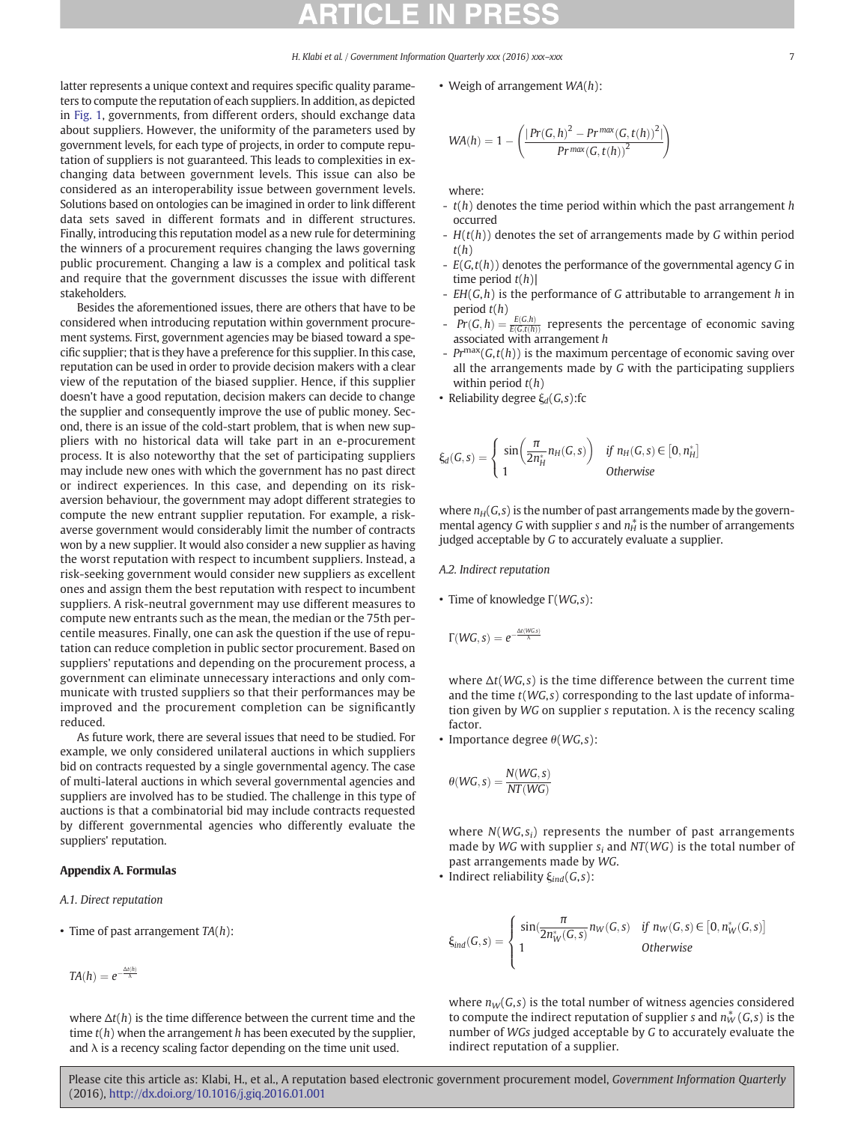<span id="page-6-0"></span>latter represents a unique context and requires specific quality parameters to compute the reputation of each suppliers. In addition, as depicted in [Fig. 1](#page-2-0), governments, from different orders, should exchange data about suppliers. However, the uniformity of the parameters used by government levels, for each type of projects, in order to compute reputation of suppliers is not guaranteed. This leads to complexities in exchanging data between government levels. This issue can also be considered as an interoperability issue between government levels. Solutions based on ontologies can be imagined in order to link different data sets saved in different formats and in different structures. Finally, introducing this reputation model as a new rule for determining the winners of a procurement requires changing the laws governing public procurement. Changing a law is a complex and political task and require that the government discusses the issue with different stakeholders.

Besides the aforementioned issues, there are others that have to be considered when introducing reputation within government procurement systems. First, government agencies may be biased toward a specific supplier; that is they have a preference for this supplier. In this case, reputation can be used in order to provide decision makers with a clear view of the reputation of the biased supplier. Hence, if this supplier doesn't have a good reputation, decision makers can decide to change the supplier and consequently improve the use of public money. Second, there is an issue of the cold-start problem, that is when new suppliers with no historical data will take part in an e-procurement process. It is also noteworthy that the set of participating suppliers may include new ones with which the government has no past direct or indirect experiences. In this case, and depending on its riskaversion behaviour, the government may adopt different strategies to compute the new entrant supplier reputation. For example, a riskaverse government would considerably limit the number of contracts won by a new supplier. It would also consider a new supplier as having the worst reputation with respect to incumbent suppliers. Instead, a risk-seeking government would consider new suppliers as excellent ones and assign them the best reputation with respect to incumbent suppliers. A risk-neutral government may use different measures to compute new entrants such as the mean, the median or the 75th percentile measures. Finally, one can ask the question if the use of reputation can reduce completion in public sector procurement. Based on suppliers' reputations and depending on the procurement process, a government can eliminate unnecessary interactions and only communicate with trusted suppliers so that their performances may be improved and the procurement completion can be significantly reduced.

As future work, there are several issues that need to be studied. For example, we only considered unilateral auctions in which suppliers bid on contracts requested by a single governmental agency. The case of multi-lateral auctions in which several governmental agencies and suppliers are involved has to be studied. The challenge in this type of auctions is that a combinatorial bid may include contracts requested by different governmental agencies who differently evaluate the suppliers' reputation.

### Appendix A. Formulas

A.1. Direct reputation

• Time of past arrangement  $TA(h)$ :

$$
TA(h)=e^{-\frac{\Delta t(h)}{\lambda}}
$$

where  $\Delta t(h)$  is the time difference between the current time and the time  $t(h)$  when the arrangement h has been executed by the supplier, and  $\lambda$  is a recency scaling factor depending on the time unit used.

• Weigh of arrangement  $WA(h)$ :

$$
WA(h) = 1 - \left( \frac{\left| Pr(G, h)^2 - Pr^{max}(G, t(h))^2 \right|}{Pr^{max}(G, t(h))^2} \right)
$$

where:

- $t(h)$  denotes the time period within which the past arrangement h occurred
- $-H(t(h))$  denotes the set of arrangements made by G within period  $t(h)$
- $E(G,t(h))$  denotes the performance of the governmental agency G in time period  $t(h)$ |
- $EH(G,h)$  is the performance of G attributable to arrangement h in period  $t(h)$
- $Pr(G, h) = \frac{E}{E(G)}$  $E(G,h)$  represents the percentage of economic saving associated with arrangement h
- $Pr^{max}(G,t(h))$  is the maximum percentage of economic saving over all the arrangements made by G with the participating suppliers within period  $t(h)$
- Reliability degree  $\xi_d(G, s)$ :fc

$$
\xi_d(G,s) = \begin{cases} \sin\left(\frac{\pi}{2n_H^*}n_H(G,s)\right) & \text{if } n_H(G,s) \in [0,n_H^*] \\ 1 & \text{Otherwise} \end{cases}
$$

where  $n_H(G, s)$  is the number of past arrangements made by the governmental agency G with supplier s and  $n_H^*$  is the number of arrangements judged acceptable by G to accurately evaluate a supplier.

- A.2. Indirect reputation
- Time of knowledge  $\Gamma(WG, s)$ :

$$
\Gamma(WG,s)=e^{-\frac{\Delta t(WG,s)}{\lambda}}
$$

where  $\Delta t(WG, s)$  is the time difference between the current time and the time  $t(WG, s)$  corresponding to the last update of information given by WG on supplier s reputation.  $\lambda$  is the recency scaling factor.

• Importance degree  $\theta(WG, s)$ :

$$
\theta(WG,s) = \frac{N(WG,s)}{NT(WG)}
$$

where  $N(WG, s_i)$  represents the number of past arrangements made by WG with supplier  $s_i$  and NT(WG) is the total number of past arrangements made by WG.

• Indirect reliability  $\xi_{ind}(G, s)$ :

$$
\xi_{ind}(G,s) = \begin{cases} \sin(\frac{\pi}{2n_W^*(G,s)}n_W(G,s) & \text{if } n_W(G,s) \in [0,n_W^*(G,s)] \\ 1 & \text{Otherwise} \end{cases}
$$

where  $n_W(G, s)$  is the total number of witness agencies considered to compute the indirect reputation of supplier s and  $n_W^*(G, s)$  is the number of WGs judged acceptable by G to accurately evaluate the indirect reputation of a supplier.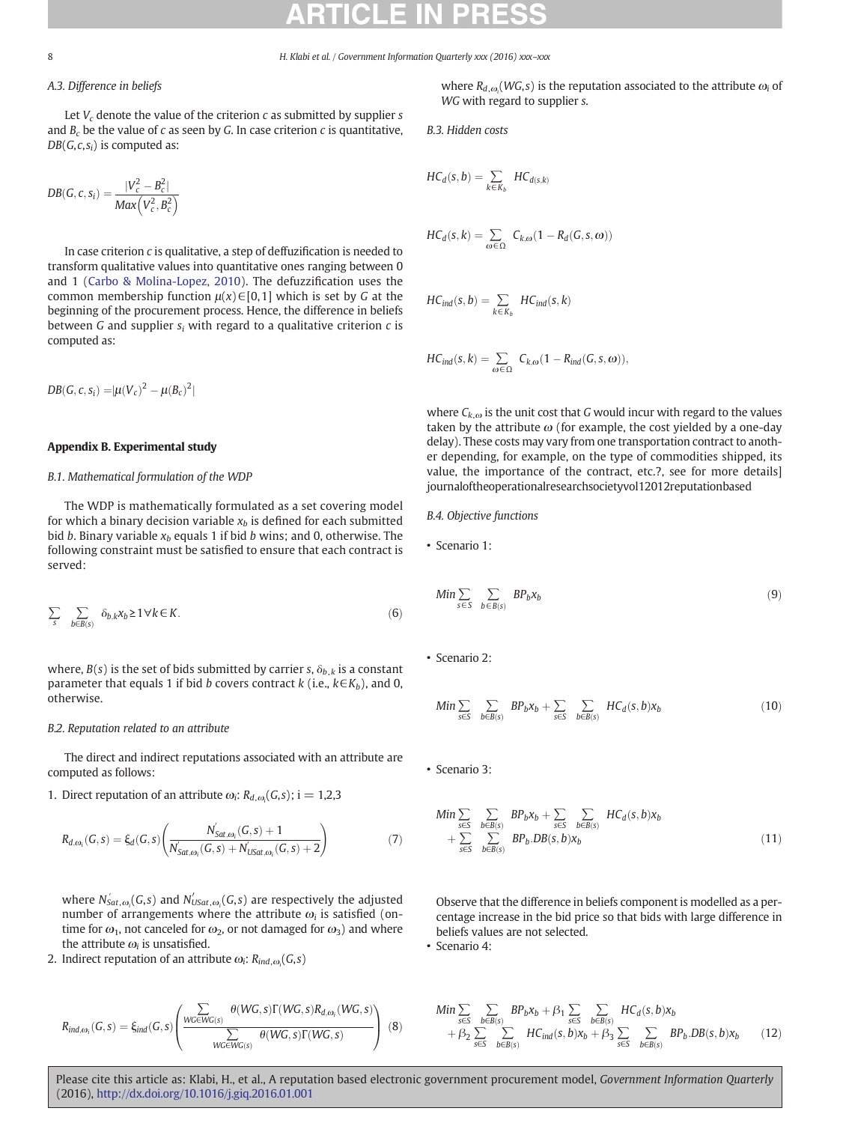# A.3. Difference in beliefs

Let  $V_c$  denote the value of the criterion  $c$  as submitted by supplier s and  $B_c$  be the value of c as seen by G. In case criterion c is quantitative,  $DB(G, c, s_i)$  is computed as:

$$
DB(G, c, s_i) = \frac{|V_c^2 - B_c^2|}{Max(V_c^2, B_c^2)}
$$

In case criterion c is qualitative, a step of deffuzification is needed to transform qualitative values into quantitative ones ranging between 0 and 1 [\(Carbo & Molina-Lopez, 2010](#page-9-0)). The defuzzification uses the common membership function  $\mu(x) \in [0, 1]$  which is set by G at the beginning of the procurement process. Hence, the difference in beliefs between G and supplier  $s_i$  with regard to a qualitative criterion  $c$  is computed as:

$$
DB(G, c, s_i) = |\mu(V_c)^2 - \mu(B_c)^2|
$$

# Appendix B. Experimental study

# B.1. Mathematical formulation of the WDP

The WDP is mathematically formulated as a set covering model for which a binary decision variable  $x_b$  is defined for each submitted bid b. Binary variable  $x_b$  equals 1 if bid b wins; and 0, otherwise. The following constraint must be satisfied to ensure that each contract is served:

$$
\sum_{s} \sum_{b \in B(s)} \delta_{b,k} x_b \ge 1 \forall k \in K. \tag{6}
$$

where,  $B(s)$  is the set of bids submitted by carrier s,  $\delta_{b,k}$  is a constant parameter that equals 1 if bid b covers contract k (i.e.,  $k \in K_b$ ), and 0, otherwise.

# B.2. Reputation related to an attribute

The direct and indirect reputations associated with an attribute are computed as follows:

1. Direct reputation of an attribute  $\omega_i$ :  $R_{d,\omega_i}(G,s)$ ; i = 1,2,3

$$
R_{d,\omega_i}(G,s) = \xi_d(G,s) \left( \frac{N'_{Sat,\omega_i}(G,s) + 1}{N'_{Sat,\omega_i}(G,s) + N'_{USat,\omega_i}(G,s) + 2} \right) \tag{7}
$$

where  $N_{Sat, \omega_i}^{'}(G,s)$  and  $N_{USat, \omega_i}^{'}(G,s)$  are respectively the adjusted number of arrangements where the attribute  $\omega_i$  is satisfied (ontime for  $\omega_1$ , not canceled for  $\omega_2$ , or not damaged for  $\omega_3$ ) and where the attribute  $\omega_i$  is unsatisfied.

2. Indirect reputation of an attribute  $\omega_i$ :  $R_{ind,\omega_i}(G,s)$ 

$$
R_{ind, \omega_i}(G, s) = \xi_{ind}(G, s) \left( \frac{\sum\limits_{WG \in WG(s)} \theta(WG, s) \Gamma(WG, s) R_{d, \omega_i}(WG, s)}{\sum\limits_{WG \in WG(s)} \theta(WG, s) \Gamma(WG, s)} \right) \tag{8}
$$

where  $R_{d,\omega_i}(WG,s)$  is the reputation associated to the attribute  $\omega_i$  of WG with regard to supplier s.

B.3. Hidden costs

$$
HC_d(s,b) = \sum_{k \in K_b} HC_{d(s,k)}
$$

$$
HC_d(s,k) = \sum_{\omega \in \Omega} C_{k,\omega} (1 - R_d(G,s,\omega))
$$

$$
HC_{ind}(s,b) = \sum_{k \in K_b} \ HC_{ind}(s,k)
$$

$$
HC_{ind}(s,k) = \sum_{\omega \in \Omega} C_{k,\omega} (1 - R_{ind}(G,s,\omega)),
$$

where  $C_{k,\omega}$  is the unit cost that G would incur with regard to the values taken by the attribute  $\omega$  (for example, the cost yielded by a one-day delay). These costs may vary from one transportation contract to another depending, for example, on the type of commodities shipped, its value, the importance of the contract, etc.?, see for more details] journaloftheoperationalresearchsocietyvol12012reputationbased

B.4. Objective functions

• Scenario 1:

$$
Min \sum_{s \in S} \sum_{b \in B(s)} BP_b x_b \tag{9}
$$

• Scenario 2:

$$
Min \sum_{s \in S} \sum_{b \in B(s)} BP_b x_b + \sum_{s \in S} \sum_{b \in B(s)} HC_d(s, b) x_b
$$
\n(10)

• Scenario 3:

$$
Min \sum_{s \in S} \sum_{b \in B(s)} BP_b x_b + \sum_{s \in S} \sum_{b \in B(s)} HC_d(s, b) x_b
$$
  
+ 
$$
\sum_{s \in S} \sum_{b \in B(s)} BP_b \cdot DB(s, b) x_b
$$
 (11)

Observe that the difference in beliefs component is modelled as a percentage increase in the bid price so that bids with large difference in beliefs values are not selected.

• Scenario 4:

$$
Min \sum_{s \in S} \sum_{b \in B(s)} BP_b x_b + \beta_1 \sum_{s \in S} \sum_{b \in B(s)} HC_d(s, b) x_b + \beta_2 \sum_{s \in S} \sum_{b \in B(s)} HC_{ind}(s, b) x_b + \beta_3 \sum_{s \in S} \sum_{b \in B(s)} BP_b \cdot DB(s, b) x_b
$$
 (12)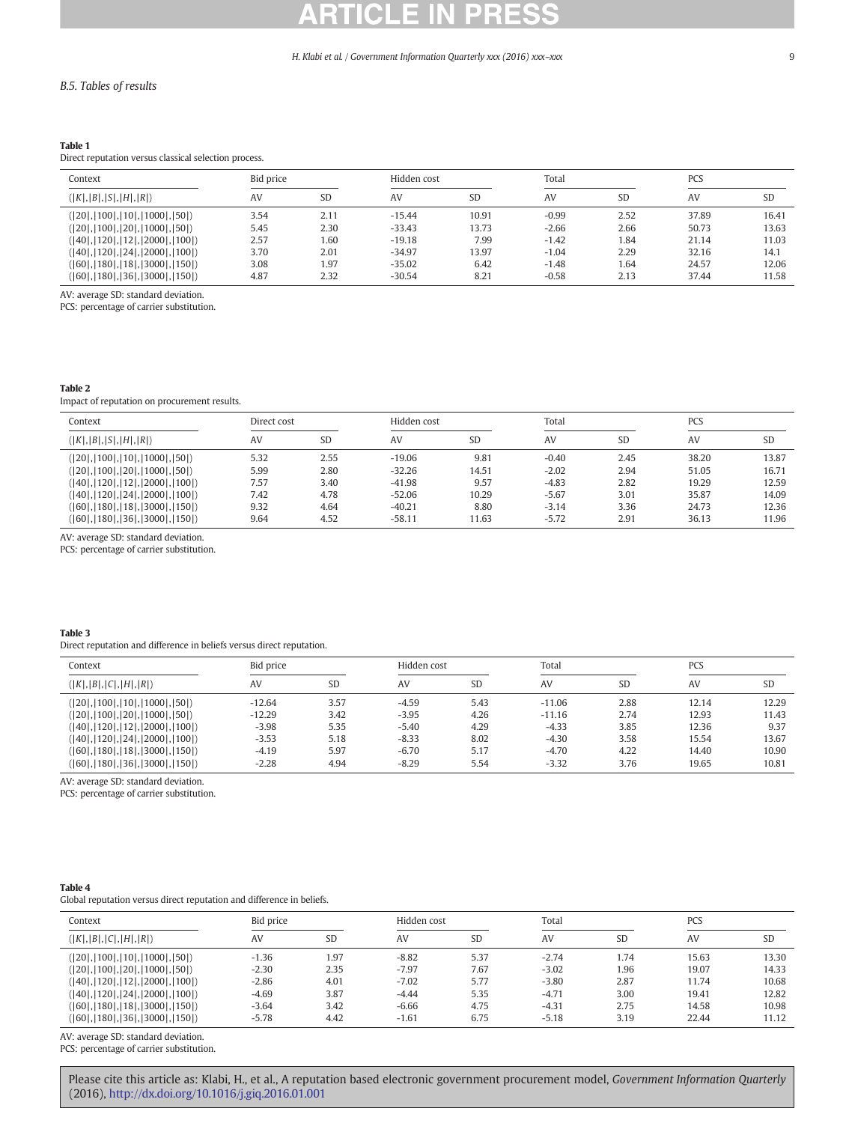# <span id="page-8-0"></span>B.5. Tables of results

# Table 1

Direct reputation versus classical selection process.

| Context                            | Bid price |           | Hidden cost |           | Total   |           | PCS   |           |
|------------------------------------|-----------|-----------|-------------|-----------|---------|-----------|-------|-----------|
| ( K ,  B ,  S ,  H ,  R )          | AV        | <b>SD</b> | AV          | <b>SD</b> | AV      | <b>SD</b> | AV    | <b>SD</b> |
| ( 20 ,  100 ,  10 ,  1000 ,  50 )  | 3.54      | 2.11      | $-15.44$    | 10.91     | $-0.99$ | 2.52      | 37.89 | 16.41     |
| ( 20 ,  100 ,  20 ,  1000 ,  50 )  | 5.45      | 2.30      | $-33.43$    | 13.73     | $-2.66$ | 2.66      | 50.73 | 13.63     |
| ( 40 ,  120 ,  12 ,  2000 ,  100 ) | 2.57      | 1.60      | $-19.18$    | 7.99      | $-1.42$ | 1.84      | 21.14 | 11.03     |
| ( 40 ,  120 ,  24 ,  2000 ,  100 ) | 3.70      | 2.01      | $-34.97$    | 13.97     | $-1.04$ | 2.29      | 32.16 | 14.1      |
| ( 60 ,  180 ,  18 ,  3000 ,  150 ) | 3.08      | 1.97      | $-35.02$    | 6.42      | $-1.48$ | 1.64      | 24.57 | 12.06     |
| ( 60 ,  180 ,  36 ,  3000 ,  150 ) | 4.87      | 2.32      | $-30.54$    | 8.21      | $-0.58$ | 2.13      | 37.44 | 11.58     |

AV: average SD: standard deviation.

PCS: percentage of carrier substitution.

# Table 2

Impact of reputation on procurement results.

| Context                            | Direct cost |           | Hidden cost |           | Total   |           | PCS   |       |
|------------------------------------|-------------|-----------|-------------|-----------|---------|-----------|-------|-------|
| ( K ,  B ,  S ,  H ,  R )          | AV          | <b>SD</b> | AV          | <b>SD</b> | AV      | <b>SD</b> | AV    | SD    |
| ( 20 ,  100 ,  10 ,  1000 ,  50 )  | 5.32        | 2.55      | $-19.06$    | 9.81      | $-0.40$ | 2.45      | 38.20 | 13.87 |
| ( 20 ,  100 ,  20 ,  1000 ,  50 )  | 5.99        | 2.80      | $-32.26$    | 14.51     | $-2.02$ | 2.94      | 51.05 | 16.71 |
| ( 40 ,  120 ,  12 ,  2000 ,  100 ) | 7.57        | 3.40      | $-41.98$    | 9.57      | $-4.83$ | 2.82      | 19.29 | 12.59 |
| ( 40 ,  120 ,  24 ,  2000 ,  100 ) | 7.42        | 4.78      | $-52.06$    | 10.29     | $-5.67$ | 3.01      | 35.87 | 14.09 |
| ( 60 ,  180 ,  18 ,  3000 ,  150 ) | 9.32        | 4.64      | $-40.21$    | 8.80      | $-3.14$ | 3.36      | 24.73 | 12.36 |
| ( 60 ,  180 ,  36 ,  3000 ,  150 ) | 9.64        | 4.52      | $-58.11$    | 11.63     | $-5.72$ | 2.91      | 36.13 | 11.96 |

AV: average SD: standard deviation.

PCS: percentage of carrier substitution.

# Table 3

Direct reputation and difference in beliefs versus direct reputation.

| Context                            | Bid price |           | Hidden cost |           | Total    |           | PCS   |           |
|------------------------------------|-----------|-----------|-------------|-----------|----------|-----------|-------|-----------|
| ( K ,  B ,  C ,  H ,  R )          | AV        | <b>SD</b> | AV          | <b>SD</b> | AV       | <b>SD</b> | AV    | <b>SD</b> |
| (20 ,  100 ,  10 ,  1000 ,  50 )   | $-12.64$  | 3.57      | $-4.59$     | 5.43      | $-11.06$ | 2.88      | 12.14 | 12.29     |
| ( 20 ,  100 ,  20 ,  1000 ,  50 )  | $-12.29$  | 3.42      | $-3.95$     | 4.26      | $-11.16$ | 2.74      | 12.93 | 11.43     |
| ( 40 ,  120 ,  12 ,  2000 ,  100 ) | $-3.98$   | 5.35      | $-5.40$     | 4.29      | $-4.33$  | 3.85      | 12.36 | 9.37      |
| ( 40 ,  120 ,  24 ,  2000 ,  100 ) | $-3.53$   | 5.18      | $-8.33$     | 8.02      | $-4.30$  | 3.58      | 15.54 | 13.67     |
| ( 60 ,  180 ,  18 ,  3000 ,  150 ) | $-4.19$   | 5.97      | $-6.70$     | 5.17      | $-4.70$  | 4.22      | 14.40 | 10.90     |
| ( 60 ,  180 ,  36 ,  3000 ,  150 ) | $-2.28$   | 4.94      | $-8.29$     | 5.54      | $-3.32$  | 3.76      | 19.65 | 10.81     |

AV: average SD: standard deviation.

PCS: percentage of carrier substitution.

# Table 4

Global reputation versus direct reputation and difference in beliefs.

| Context                            | Bid price |           | Hidden cost |           | Total   |           | PCS   |           |
|------------------------------------|-----------|-----------|-------------|-----------|---------|-----------|-------|-----------|
| ( K ,  B ,  C ,  H ,  R )          | AV        | <b>SD</b> | AV          | <b>SD</b> | AV      | <b>SD</b> | AV    | <b>SD</b> |
| ( 20 ,  100 ,  10 ,  1000 ,  50 )  | $-1.36$   | 1.97      | $-8.82$     | 5.37      | $-2.74$ | 1.74      | 15.63 | 13.30     |
| ( 20 ,  100 ,  20 ,  1000 ,  50 )  | $-2.30$   | 2.35      | $-7.97$     | 7.67      | $-3.02$ | 1.96      | 19.07 | 14.33     |
| ( 40 ,  120 ,  12 ,  2000 ,  100 ) | $-2.86$   | 4.01      | $-7.02$     | 5.77      | $-3.80$ | 2.87      | 11.74 | 10.68     |
| ( 40 ,  120 ,  24 ,  2000 ,  100 ) | $-4.69$   | 3.87      | $-4.44$     | 5.35      | $-4.71$ | 3.00      | 19.41 | 12.82     |
| ( 60 ,  180 ,  18 ,  3000 ,  150 ) | $-3.64$   | 3.42      | $-6.66$     | 4.75      | $-4.31$ | 2.75      | 14.58 | 10.98     |
| ( 60 ,  180 ,  36 ,  3000 ,  150 ) | $-5.78$   | 4.42      | $-1.61$     | 6.75      | $-5.18$ | 3.19      | 22.44 | 11.12     |

AV: average SD: standard deviation.

PCS: percentage of carrier substitution.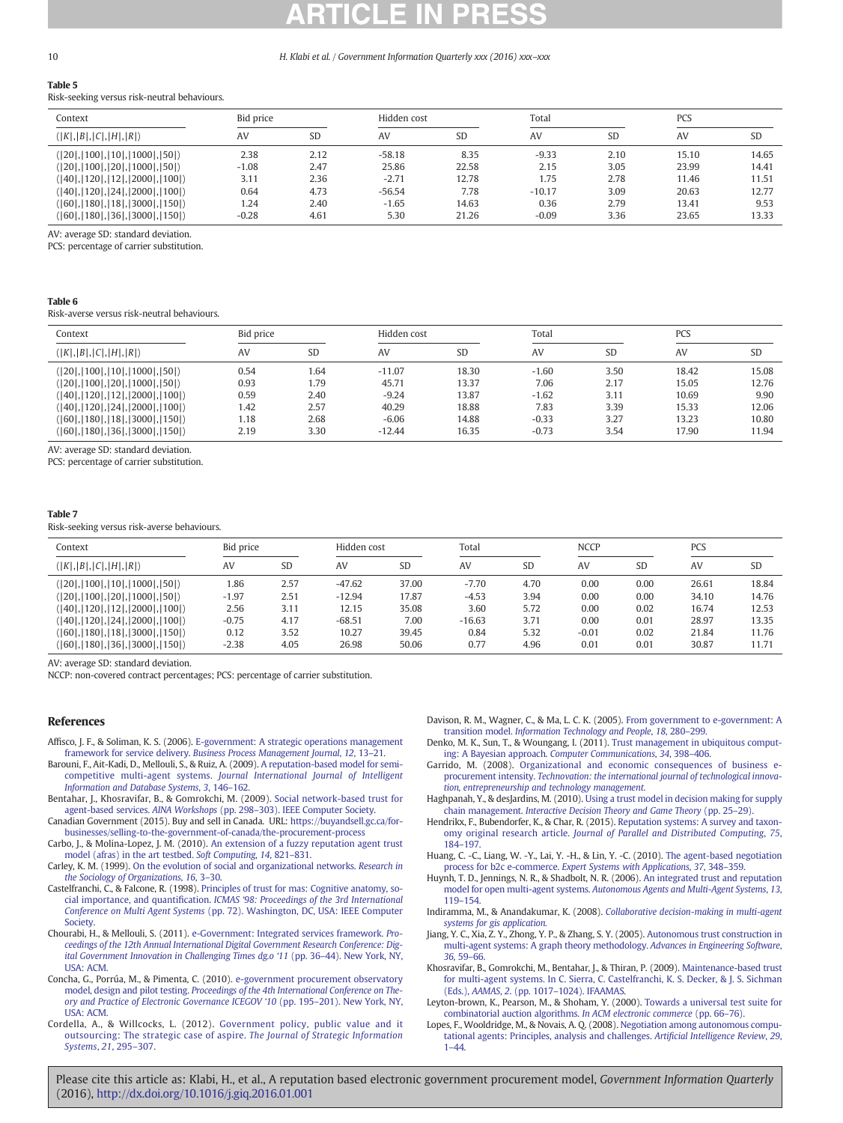# <span id="page-9-0"></span>Table 5

Risk-seeking versus risk-neutral behaviours.

| Context                            | Bid price |           | Hidden cost |           | Total    |           | PCS   |           |
|------------------------------------|-----------|-----------|-------------|-----------|----------|-----------|-------|-----------|
| ( K ,  B ,  C ,  H ,  R )          | AV        | <b>SD</b> | AV          | <b>SD</b> | AV       | <b>SD</b> | AV    | <b>SD</b> |
| (20 ,  100 ,  10 ,  1000 ,  50 )   | 2.38      | 2.12      | $-58.18$    | 8.35      | $-9.33$  | 2.10      | 15.10 | 14.65     |
| (20 ,  100 ,  20 ,  1000 ,  50 )   | $-1.08$   | 2.47      | 25.86       | 22.58     | 2.15     | 3.05      | 23.99 | 14.41     |
| ( 40 ,  120 ,  12 ,  2000 ,  100 ) | 3.11      | 2.36      | $-2.71$     | 12.78     | 1.75     | 2.78      | 11.46 | 11.51     |
| ( 40 ,  120 ,  24 ,  2000 ,  100 ) | 0.64      | 4.73      | $-56.54$    | 7.78      | $-10.17$ | 3.09      | 20.63 | 12.77     |
| ( 60 ,  180 ,  18 ,  3000 ,  150 ) | 1.24      | 2.40      | $-1.65$     | 14.63     | 0.36     | 2.79      | 13.41 | 9.53      |
| ( 60 ,  180 ,  36 ,  3000 ,  150 ) | $-0.28$   | 4.61      | 5.30        | 21.26     | $-0.09$  | 3.36      | 23.65 | 13.33     |

AV: average SD: standard deviation.

PCS: percentage of carrier substitution.

# Table 6

Risk-averse versus risk-neutral behaviours.

| Context                            | Bid price |      | Hidden cost |           | Total   |           | PCS   |           |
|------------------------------------|-----------|------|-------------|-----------|---------|-----------|-------|-----------|
| ( K ,  B ,  C ,  H ,  R )          | AV        | SD   | AV          | <b>SD</b> | AV      | <b>SD</b> | AV    | <b>SD</b> |
| (20 ,  100 ,  10 ,  1000 ,  50 )   | 0.54      | 1.64 | $-11.07$    | 18.30     | $-1.60$ | 3.50      | 18.42 | 15.08     |
| (20 ,  100 ,  20 ,  1000 ,  50 )   | 0.93      | 1.79 | 45.71       | 13.37     | 7.06    | 2.17      | 15.05 | 12.76     |
| ( 40 ,  120 ,  12 ,  2000 ,  100 ) | 0.59      | 2.40 | $-9.24$     | 13.87     | $-1.62$ | 3.11      | 10.69 | 9.90      |
| ( 40 ,  120 ,  24 ,  2000 ,  100 ) | 1.42      | 2.57 | 40.29       | 18.88     | 7.83    | 3.39      | 15.33 | 12.06     |
| ( 60 ,  180 ,  18 ,  3000 ,  150 ) | 1.18      | 2.68 | $-6.06$     | 14.88     | $-0.33$ | 3.27      | 13.23 | 10.80     |
| ( 60 ,  180 ,  36 ,  3000 ,  150 ) | 2.19      | 3.30 | $-12.44$    | 16.35     | $-0.73$ | 3.54      | 17.90 | 11.94     |

AV: average SD: standard deviation.

PCS: percentage of carrier substitution.

# Table 7

Risk-seeking versus risk-averse behaviours.

| Context                            | Bid price |           | Hidden cost |           | Total    |           | <b>NCCP</b> |           | PCS   |           |
|------------------------------------|-----------|-----------|-------------|-----------|----------|-----------|-------------|-----------|-------|-----------|
| ( K ,  B ,  C ,  H ,  R )          | AV        | <b>SD</b> | AV          | <b>SD</b> | AV       | <b>SD</b> | AV          | <b>SD</b> | AV    | <b>SD</b> |
| (20 ,  100 ,  10 ,  1000 ,  50 )   | 1.86      | 2.57      | $-47.62$    | 37.00     | $-7.70$  | 4.70      | 0.00        | 0.00      | 26.61 | 18.84     |
| (20 ,  100 ,  20 ,  1000 ,  50 )   | $-1.97$   | 2.51      | $-12.94$    | 17.87     | $-4.53$  | 3.94      | 0.00        | 0.00      | 34.10 | 14.76     |
| ( 40 ,  120 ,  12 ,  2000 ,  100 ) | 2.56      | 3.11      | 12.15       | 35.08     | 3.60     | 5.72      | 0.00        | 0.02      | 16.74 | 12.53     |
| ( 40 ,  120 ,  24 ,  2000 ,  100 ) | $-0.75$   | 4.17      | $-68.51$    | 7.00      | $-16.63$ | 3.71      | 0.00        | 0.01      | 28.97 | 13.35     |
| ( 60 ,  180 ,  18 ,  3000 ,  150 ) | 0.12      | 3.52      | 10.27       | 39.45     | 0.84     | 5.32      | $-0.01$     | 0.02      | 21.84 | 11.76     |
| ( 60 ,  180 ,  36 ,  3000 ,  150 ) | $-2.38$   | 4.05      | 26.98       | 50.06     | 0.77     | 4.96      | 0.01        | 0.01      | 30.87 | 11.71     |

AV: average SD: standard deviation.

NCCP: non-covered contract percentages; PCS: percentage of carrier substitution.

### References

- Affisco, J. F., & Soliman, K. S. (2006). [E-government: A strategic operations management](http://refhub.elsevier.com/S0740-624X(16)30001-6/rf0005) framework for service delivery. [Business Process Management Journal](http://refhub.elsevier.com/S0740-624X(16)30001-6/rf0005), 12, 13–21.
- Barouni, F., Ait-Kadi, D., Mellouli, S., & Ruiz, A. (2009). [A reputation-based model for semi](http://refhub.elsevier.com/S0740-624X(16)30001-6/rf0010)competitive multi-agent systems. [Journal International Journal of Intelligent](http://refhub.elsevier.com/S0740-624X(16)30001-6/rf0010) [Information and Database Systems](http://refhub.elsevier.com/S0740-624X(16)30001-6/rf0010), 3, 146–162.
- Bentahar, J., Khosravifar, B., & Gomrokchi, M. (2009). [Social network-based trust for](http://refhub.elsevier.com/S0740-624X(16)30001-6/rf0015) agent-based services. AINA Workshops (pp. 298–[303\). IEEE Computer Society.](http://refhub.elsevier.com/S0740-624X(16)30001-6/rf0015)
- Canadian Government (2015). Buy and sell in Canada. URL: [https://buyandsell.gc.ca/for](https://buyandsell.gc.ca/forusinesses/selling-o-heovernmentfanada/the-rocurement-rocess)[businesses/selling-to-the-government-of-canada/the-procurement-process](https://buyandsell.gc.ca/forusinesses/selling-o-heovernmentfanada/the-rocurement-rocess)
- Carbo, J., & Molina-Lopez, J. M. (2010). [An extension of a fuzzy reputation agent trust](http://refhub.elsevier.com/S0740-624X(16)30001-6/rf0025) [model \(afras\) in the art testbed.](http://refhub.elsevier.com/S0740-624X(16)30001-6/rf0025) Soft Computing, 14, 821–831.
- Carley, K. M. (1999). [On the evolution of social and organizational networks.](http://refhub.elsevier.com/S0740-624X(16)30001-6/rf0030) Research in [the Sociology of Organizations](http://refhub.elsevier.com/S0740-624X(16)30001-6/rf0030), 16, 3–30.
- Castelfranchi, C., & Falcone, R. (1998). [Principles of trust for mas: Cognitive anatomy, so](http://refhub.elsevier.com/S0740-624X(16)30001-6/rf0035)cial importance, and quantification. ICMAS '[98: Proceedings of the 3rd International](http://refhub.elsevier.com/S0740-624X(16)30001-6/rf0035) Conference on Multi Agent Systems [\(pp. 72\). Washington, DC, USA: IEEE Computer](http://refhub.elsevier.com/S0740-624X(16)30001-6/rf0035) [Society.](http://refhub.elsevier.com/S0740-624X(16)30001-6/rf0035)
- Chourabi, H., & Mellouli, S. (2011). [e-Government: Integrated services framework.](http://refhub.elsevier.com/S0740-624X(16)30001-6/rf0040) Pro[ceedings of the 12th Annual International Digital Government Research Conference: Dig](http://refhub.elsevier.com/S0740-624X(16)30001-6/rf0040)[ital Government Innovation in Challenging Times dg.o](http://refhub.elsevier.com/S0740-624X(16)30001-6/rf0040) '11 (pp. 36–44). New York, NY, [USA: ACM.](http://refhub.elsevier.com/S0740-624X(16)30001-6/rf0040)
- Concha, G., Porrúa, M., & Pimenta, C. (2010). [e-government procurement observatory](http://refhub.elsevier.com/S0740-624X(16)30001-6/rf0045) model, design and pilot testing. [Proceedings of the 4th International Conference on The](http://refhub.elsevier.com/S0740-624X(16)30001-6/rf0045)[ory and Practice of Electronic Governance ICEGOV](http://refhub.elsevier.com/S0740-624X(16)30001-6/rf0045) '10 (pp. 195–201). New York, NY, [USA: ACM.](http://refhub.elsevier.com/S0740-624X(16)30001-6/rf0045)
- Cordella, A., & Willcocks, L. (2012). [Government policy, public value and it](http://refhub.elsevier.com/S0740-624X(16)30001-6/rf0050) [outsourcing: The strategic case of aspire.](http://refhub.elsevier.com/S0740-624X(16)30001-6/rf0050) The Journal of Strategic Information [Systems](http://refhub.elsevier.com/S0740-624X(16)30001-6/rf0050), 21, 295–307.
- Davison, R. M., Wagner, C., & Ma, L. C. K. (2005). [From government to e-government: A](http://refhub.elsevier.com/S0740-624X(16)30001-6/rf0055) transition model. [Information Technology and People](http://refhub.elsevier.com/S0740-624X(16)30001-6/rf0055), 18, 280–299.
- Denko, M. K., Sun, T., & Woungang, I. (2011). [Trust management in ubiquitous comput](http://refhub.elsevier.com/S0740-624X(16)30001-6/rf0060)ing: A Bayesian approach. [Computer Communications](http://refhub.elsevier.com/S0740-624X(16)30001-6/rf0060), 34, 398–406.
- Garrido, M. (2008). [Organizational and economic consequences of business e](http://refhub.elsevier.com/S0740-624X(16)30001-6/rf0065)procurement intensity. [Technovation: the international journal of technological innova](http://refhub.elsevier.com/S0740-624X(16)30001-6/rf0065)[tion, entrepreneurship and technology management](http://refhub.elsevier.com/S0740-624X(16)30001-6/rf0065).
- Haghpanah, Y., & desJardins, M. (2010). [Using a trust model in decision making for supply](http://refhub.elsevier.com/S0740-624X(16)30001-6/rf0070) chain management. [Interactive Decision Theory and Game Theory](http://refhub.elsevier.com/S0740-624X(16)30001-6/rf0070) (pp. 25–29).
- Hendrikx, F., Bubendorfer, K., & Char, R. (2015). [Reputation systems: A survey and taxon](http://refhub.elsevier.com/S0740-624X(16)30001-6/rf0075)omy original research article. [Journal of Parallel and Distributed Computing](http://refhub.elsevier.com/S0740-624X(16)30001-6/rf0075), 75, 184–[197.](http://refhub.elsevier.com/S0740-624X(16)30001-6/rf0075)
- Huang, C. -C., Liang, W. -Y., Lai, Y. -H., & Lin, Y. -C. (2010). [The agent-based negotiation](http://refhub.elsevier.com/S0740-624X(16)30001-6/rf0080) process for b2c e-commerce. [Expert Systems with Applications](http://refhub.elsevier.com/S0740-624X(16)30001-6/rf0080), 37, 348–359.
- Huynh, T. D., Jennings, N. R., & Shadbolt, N. R. (2006). [An integrated trust and reputation](http://refhub.elsevier.com/S0740-624X(16)30001-6/rf0085) model for open multi-agent systems. [Autonomous Agents and Multi-Agent Systems](http://refhub.elsevier.com/S0740-624X(16)30001-6/rf0085), 13, 119–[154.](http://refhub.elsevier.com/S0740-624X(16)30001-6/rf0085)
- Indiramma, M., & Anandakumar, K. (2008). [Collaborative decision-making in multi-agent](http://refhub.elsevier.com/S0740-624X(16)30001-6/rf0090) [systems for gis application.](http://refhub.elsevier.com/S0740-624X(16)30001-6/rf0090)
- Jiang, Y. C., Xia, Z. Y., Zhong, Y. P., & Zhang, S. Y. (2005). [Autonomous trust construction in](http://refhub.elsevier.com/S0740-624X(16)30001-6/rf0095) [multi-agent systems: A graph theory methodology.](http://refhub.elsevier.com/S0740-624X(16)30001-6/rf0095) Advances in Engineering Software, 36[, 59](http://refhub.elsevier.com/S0740-624X(16)30001-6/rf0095)–66.
- Khosravifar, B., Gomrokchi, M., Bentahar, J., & Thiran, P. (2009). [Maintenance-based trust](http://refhub.elsevier.com/S0740-624X(16)30001-6/rf0100) [for multi-agent systems. In C. Sierra, C. Castelfranchi, K. S. Decker, & J. S. Sichman](http://refhub.elsevier.com/S0740-624X(16)30001-6/rf0100) (Eds.), AAMAS, 2. (pp. 1017–[1024\). IFAAMAS.](http://refhub.elsevier.com/S0740-624X(16)30001-6/rf0100)
- Leyton-brown, K., Pearson, M., & Shoham, Y. (2000). [Towards a universal test suite for](http://refhub.elsevier.com/S0740-624X(16)30001-6/rf0105) [combinatorial auction algorithms.](http://refhub.elsevier.com/S0740-624X(16)30001-6/rf0105) In ACM electronic commerce (pp. 66–76).
- Lopes, F., Wooldridge, M., & Novais, A. Q. (2008). [Negotiation among autonomous compu](http://refhub.elsevier.com/S0740-624X(16)30001-6/rf0110)[tational agents: Principles, analysis and challenges.](http://refhub.elsevier.com/S0740-624X(16)30001-6/rf0110) Artificial Intelligence Review, 29, 1–[44.](http://refhub.elsevier.com/S0740-624X(16)30001-6/rf0110)